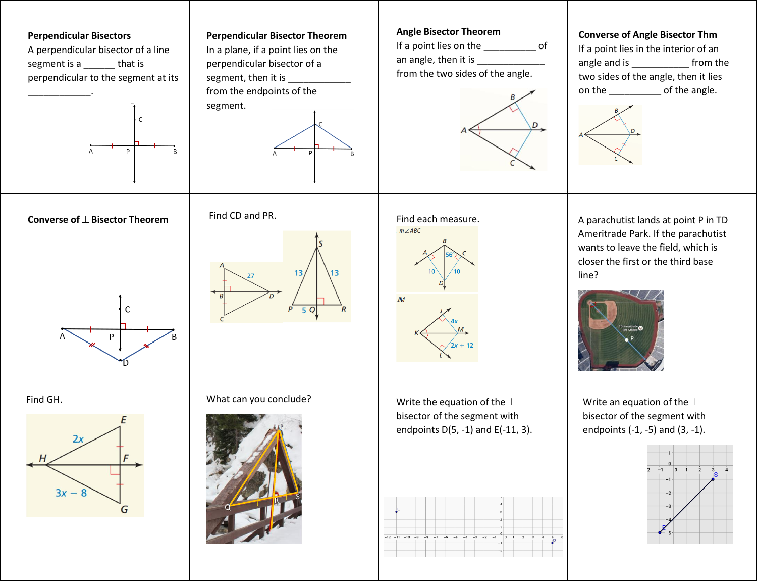